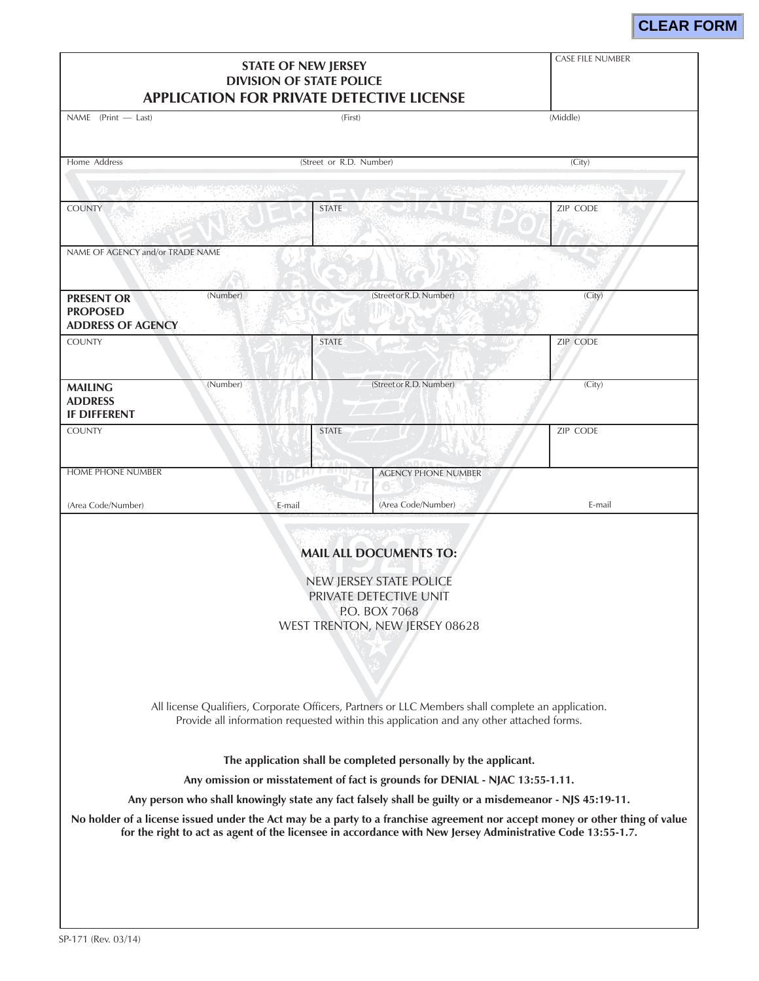# **CLEAR FORM**

| <b>STATE OF NEW JERSEY</b><br><b>DIVISION OF STATE POLICE</b><br><b>APPLICATION FOR PRIVATE DETECTIVE LICENSE</b>                                                                                                                                                                                                                      |                         | <b>CASE FILE NUMBER</b>                                                                                                                                                                                              |          |  |
|----------------------------------------------------------------------------------------------------------------------------------------------------------------------------------------------------------------------------------------------------------------------------------------------------------------------------------------|-------------------------|----------------------------------------------------------------------------------------------------------------------------------------------------------------------------------------------------------------------|----------|--|
| NAME (Print - Last)                                                                                                                                                                                                                                                                                                                    | (First)                 |                                                                                                                                                                                                                      | (Middle) |  |
| Home Address                                                                                                                                                                                                                                                                                                                           | (Street or R.D. Number) |                                                                                                                                                                                                                      | (City)   |  |
|                                                                                                                                                                                                                                                                                                                                        |                         |                                                                                                                                                                                                                      |          |  |
| <b>COUNTY</b>                                                                                                                                                                                                                                                                                                                          | <b>STATE</b>            |                                                                                                                                                                                                                      | ZIP CODE |  |
| NAME OF AGENCY and/or TRADE NAME                                                                                                                                                                                                                                                                                                       |                         |                                                                                                                                                                                                                      |          |  |
| (Number)<br><b>PRESENT OR</b><br><b>PROPOSED</b><br><b>ADDRESS OF AGENCY</b>                                                                                                                                                                                                                                                           |                         | (Street or R.D. Number)                                                                                                                                                                                              | (City)   |  |
| <b>COUNTY</b>                                                                                                                                                                                                                                                                                                                          | <b>STATE</b>            |                                                                                                                                                                                                                      | ZIP CODE |  |
| (Number)<br><b>MAILING</b><br><b>ADDRESS</b><br><b>IF DIFFERENT</b>                                                                                                                                                                                                                                                                    |                         | (Street or R.D. Number)                                                                                                                                                                                              | (City)   |  |
| <b>COUNTY</b>                                                                                                                                                                                                                                                                                                                          | <b>STATE</b>            |                                                                                                                                                                                                                      | ZIP CODE |  |
| <b>HOME PHONE NUMBER</b>                                                                                                                                                                                                                                                                                                               |                         | <b>AGENCY PHONE NUMBER</b>                                                                                                                                                                                           |          |  |
| (Area Code/Number)                                                                                                                                                                                                                                                                                                                     | E-mail                  | (Area Code/Number)                                                                                                                                                                                                   | E-mail   |  |
| <b>MAIL ALL DOCUMENTS TO:</b><br>NEW JERSEY STATE POLICE<br>PRIVATE DETECTIVE UNIT<br>P.O. BOX 7068<br>WEST TRENTON, NEW JERSEY 08628<br>All license Qualifiers, Corporate Officers, Partners or LLC Members shall complete an application.<br>Provide all information requested within this application and any other attached forms. |                         |                                                                                                                                                                                                                      |          |  |
|                                                                                                                                                                                                                                                                                                                                        |                         | The application shall be completed personally by the applicant.                                                                                                                                                      |          |  |
|                                                                                                                                                                                                                                                                                                                                        |                         | Any omission or misstatement of fact is grounds for DENIAL - NJAC 13:55-1.11.                                                                                                                                        |          |  |
| No holder of a license issued under the Act may be a party to a franchise agreement nor accept money or other thing of value                                                                                                                                                                                                           |                         | Any person who shall knowingly state any fact falsely shall be guilty or a misdemeanor - NJS 45:19-11.<br>for the right to act as agent of the licensee in accordance with New Jersey Administrative Code 13:55-1.7. |          |  |
|                                                                                                                                                                                                                                                                                                                                        |                         |                                                                                                                                                                                                                      |          |  |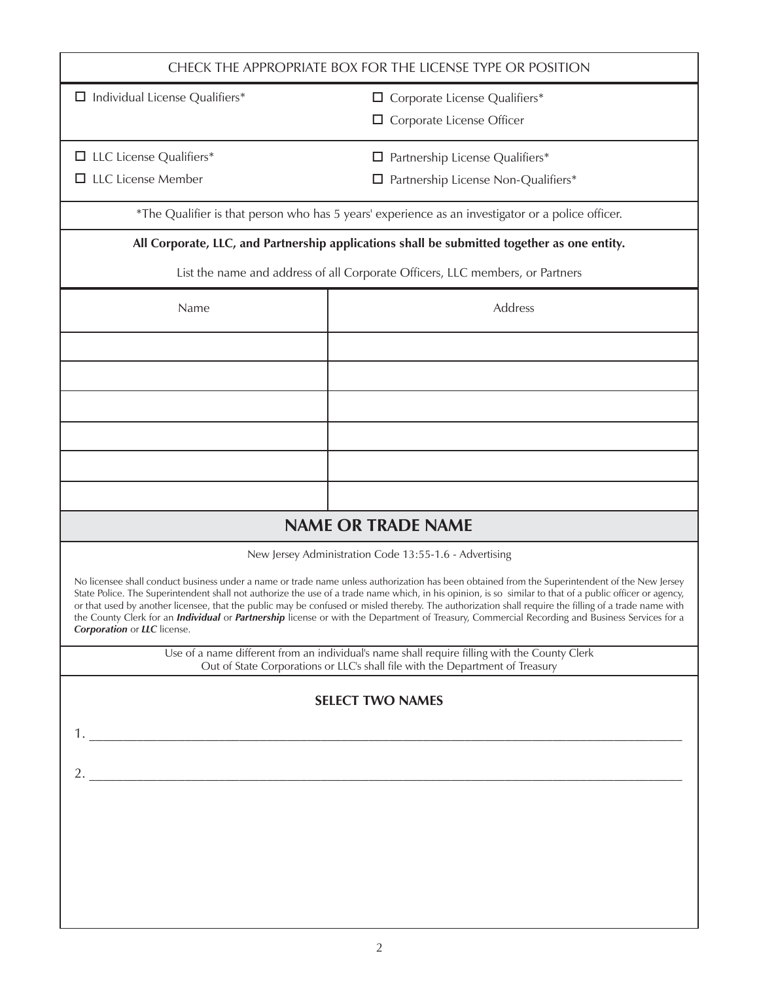| CHECK THE APPROPRIATE BOX FOR THE LICENSE TYPE OR POSITION                                                                                                                                                                                                                                                                                                                                                                                                                                                                                                                                                                                                         |                                                                                                                                                                                |  |
|--------------------------------------------------------------------------------------------------------------------------------------------------------------------------------------------------------------------------------------------------------------------------------------------------------------------------------------------------------------------------------------------------------------------------------------------------------------------------------------------------------------------------------------------------------------------------------------------------------------------------------------------------------------------|--------------------------------------------------------------------------------------------------------------------------------------------------------------------------------|--|
| $\Box$ Individual License Qualifiers*<br>$\Box$ Corporate License Qualifiers*                                                                                                                                                                                                                                                                                                                                                                                                                                                                                                                                                                                      |                                                                                                                                                                                |  |
|                                                                                                                                                                                                                                                                                                                                                                                                                                                                                                                                                                                                                                                                    | $\Box$ Corporate License Officer                                                                                                                                               |  |
| $\Box$ LLC License Qualifiers*                                                                                                                                                                                                                                                                                                                                                                                                                                                                                                                                                                                                                                     | $\Box$ Partnership License Qualifiers*                                                                                                                                         |  |
| $\Box$ LLC License Member                                                                                                                                                                                                                                                                                                                                                                                                                                                                                                                                                                                                                                          | □ Partnership License Non-Qualifiers*                                                                                                                                          |  |
|                                                                                                                                                                                                                                                                                                                                                                                                                                                                                                                                                                                                                                                                    | *The Qualifier is that person who has 5 years' experience as an investigator or a police officer.                                                                              |  |
|                                                                                                                                                                                                                                                                                                                                                                                                                                                                                                                                                                                                                                                                    | All Corporate, LLC, and Partnership applications shall be submitted together as one entity.                                                                                    |  |
|                                                                                                                                                                                                                                                                                                                                                                                                                                                                                                                                                                                                                                                                    | List the name and address of all Corporate Officers, LLC members, or Partners                                                                                                  |  |
| Name                                                                                                                                                                                                                                                                                                                                                                                                                                                                                                                                                                                                                                                               | Address                                                                                                                                                                        |  |
|                                                                                                                                                                                                                                                                                                                                                                                                                                                                                                                                                                                                                                                                    |                                                                                                                                                                                |  |
|                                                                                                                                                                                                                                                                                                                                                                                                                                                                                                                                                                                                                                                                    |                                                                                                                                                                                |  |
|                                                                                                                                                                                                                                                                                                                                                                                                                                                                                                                                                                                                                                                                    |                                                                                                                                                                                |  |
|                                                                                                                                                                                                                                                                                                                                                                                                                                                                                                                                                                                                                                                                    |                                                                                                                                                                                |  |
|                                                                                                                                                                                                                                                                                                                                                                                                                                                                                                                                                                                                                                                                    |                                                                                                                                                                                |  |
|                                                                                                                                                                                                                                                                                                                                                                                                                                                                                                                                                                                                                                                                    |                                                                                                                                                                                |  |
|                                                                                                                                                                                                                                                                                                                                                                                                                                                                                                                                                                                                                                                                    | <b>NAME OR TRADE NAME</b>                                                                                                                                                      |  |
|                                                                                                                                                                                                                                                                                                                                                                                                                                                                                                                                                                                                                                                                    | New Jersey Administration Code 13:55-1.6 - Advertising                                                                                                                         |  |
| No licensee shall conduct business under a name or trade name unless authorization has been obtained from the Superintendent of the New Jersey<br>State Police. The Superintendent shall not authorize the use of a trade name which, in his opinion, is so similar to that of a public officer or agency,<br>or that used by another licensee, that the public may be confused or misled thereby. The authorization shall require the filling of a trade name with<br>the County Clerk for an <i>Individual</i> or <i>Partnership</i> license or with the Department of Treasury, Commercial Recording and Business Services for a<br>Corporation or LLC license. |                                                                                                                                                                                |  |
|                                                                                                                                                                                                                                                                                                                                                                                                                                                                                                                                                                                                                                                                    | Use of a name different from an individual's name shall require filling with the County Clerk<br>Out of State Corporations or LLC's shall file with the Department of Treasury |  |
| <b>SELECT TWO NAMES</b>                                                                                                                                                                                                                                                                                                                                                                                                                                                                                                                                                                                                                                            |                                                                                                                                                                                |  |
|                                                                                                                                                                                                                                                                                                                                                                                                                                                                                                                                                                                                                                                                    |                                                                                                                                                                                |  |
|                                                                                                                                                                                                                                                                                                                                                                                                                                                                                                                                                                                                                                                                    |                                                                                                                                                                                |  |
| 2. $\qquad \qquad$                                                                                                                                                                                                                                                                                                                                                                                                                                                                                                                                                                                                                                                 |                                                                                                                                                                                |  |
|                                                                                                                                                                                                                                                                                                                                                                                                                                                                                                                                                                                                                                                                    |                                                                                                                                                                                |  |
|                                                                                                                                                                                                                                                                                                                                                                                                                                                                                                                                                                                                                                                                    |                                                                                                                                                                                |  |
|                                                                                                                                                                                                                                                                                                                                                                                                                                                                                                                                                                                                                                                                    |                                                                                                                                                                                |  |
|                                                                                                                                                                                                                                                                                                                                                                                                                                                                                                                                                                                                                                                                    |                                                                                                                                                                                |  |
|                                                                                                                                                                                                                                                                                                                                                                                                                                                                                                                                                                                                                                                                    |                                                                                                                                                                                |  |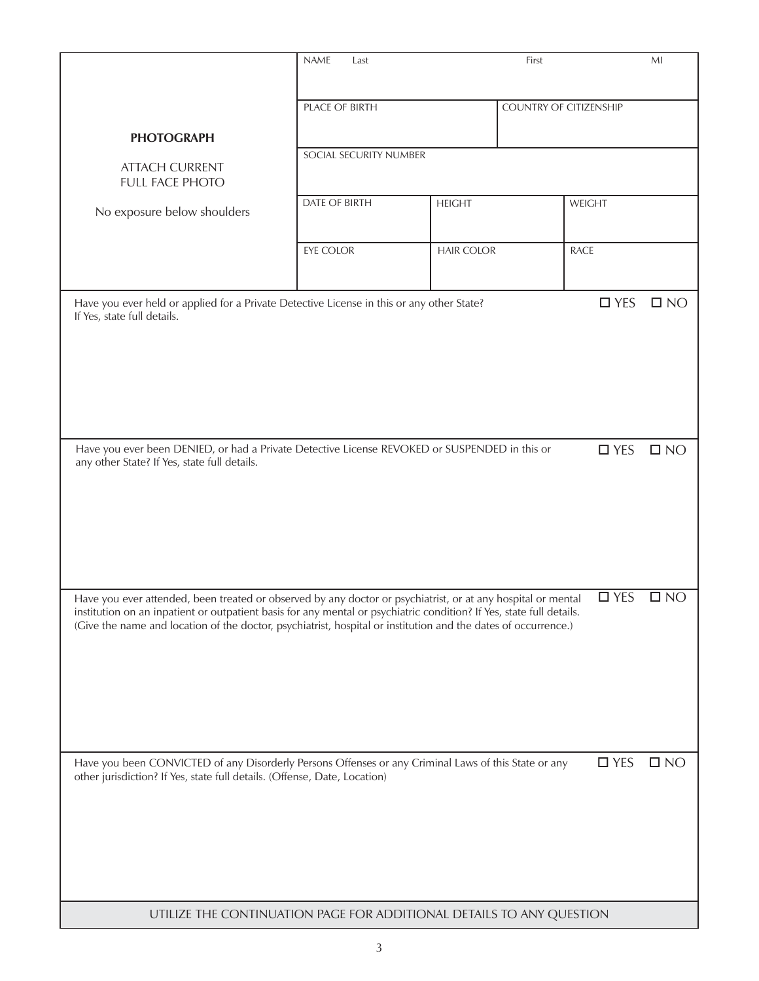|                                                                                                                                                                                                                                      | <b>NAME</b><br>Last    | First             |                               | MI           |
|--------------------------------------------------------------------------------------------------------------------------------------------------------------------------------------------------------------------------------------|------------------------|-------------------|-------------------------------|--------------|
|                                                                                                                                                                                                                                      |                        |                   |                               |              |
|                                                                                                                                                                                                                                      | PLACE OF BIRTH         |                   | <b>COUNTRY OF CITIZENSHIP</b> |              |
|                                                                                                                                                                                                                                      |                        |                   |                               |              |
| <b>PHOTOGRAPH</b>                                                                                                                                                                                                                    |                        |                   |                               |              |
|                                                                                                                                                                                                                                      | SOCIAL SECURITY NUMBER |                   |                               |              |
| <b>ATTACH CURRENT</b><br><b>FULL FACE PHOTO</b>                                                                                                                                                                                      |                        |                   |                               |              |
|                                                                                                                                                                                                                                      | DATE OF BIRTH          | <b>HEIGHT</b>     | WEIGHT                        |              |
| No exposure below shoulders                                                                                                                                                                                                          |                        |                   |                               |              |
|                                                                                                                                                                                                                                      |                        |                   |                               |              |
|                                                                                                                                                                                                                                      | EYE COLOR              | <b>HAIR COLOR</b> | <b>RACE</b>                   |              |
|                                                                                                                                                                                                                                      |                        |                   |                               |              |
|                                                                                                                                                                                                                                      |                        |                   |                               |              |
| Have you ever held or applied for a Private Detective License in this or any other State?<br>If Yes, state full details.                                                                                                             |                        |                   | $\Box$ YES                    | $\square$ NO |
|                                                                                                                                                                                                                                      |                        |                   |                               |              |
|                                                                                                                                                                                                                                      |                        |                   |                               |              |
|                                                                                                                                                                                                                                      |                        |                   |                               |              |
|                                                                                                                                                                                                                                      |                        |                   |                               |              |
|                                                                                                                                                                                                                                      |                        |                   |                               |              |
|                                                                                                                                                                                                                                      |                        |                   |                               |              |
|                                                                                                                                                                                                                                      |                        |                   |                               |              |
| Have you ever been DENIED, or had a Private Detective License REVOKED or SUSPENDED in this or<br>any other State? If Yes, state full details.                                                                                        |                        |                   | $\Box$ YES                    | $\square$ NO |
|                                                                                                                                                                                                                                      |                        |                   |                               |              |
|                                                                                                                                                                                                                                      |                        |                   |                               |              |
|                                                                                                                                                                                                                                      |                        |                   |                               |              |
|                                                                                                                                                                                                                                      |                        |                   |                               |              |
|                                                                                                                                                                                                                                      |                        |                   |                               |              |
|                                                                                                                                                                                                                                      |                        |                   |                               |              |
|                                                                                                                                                                                                                                      |                        |                   |                               |              |
| Have you ever attended, been treated or observed by any doctor or psychiatrist, or at any hospital or mental<br>institution on an inpatient or outpatient basis for any mental or psychiatric condition? If Yes, state full details. |                        |                   | $\Box$ YES                    | $\square$ NO |
| (Give the name and location of the doctor, psychiatrist, hospital or institution and the dates of occurrence.)                                                                                                                       |                        |                   |                               |              |
|                                                                                                                                                                                                                                      |                        |                   |                               |              |
|                                                                                                                                                                                                                                      |                        |                   |                               |              |
|                                                                                                                                                                                                                                      |                        |                   |                               |              |
|                                                                                                                                                                                                                                      |                        |                   |                               |              |
|                                                                                                                                                                                                                                      |                        |                   |                               |              |
|                                                                                                                                                                                                                                      |                        |                   |                               |              |
|                                                                                                                                                                                                                                      |                        |                   |                               |              |
| Have you been CONVICTED of any Disorderly Persons Offenses or any Criminal Laws of this State or any                                                                                                                                 |                        |                   | $\square$ YES                 | $\square$ NO |
| other jurisdiction? If Yes, state full details. (Offense, Date, Location)                                                                                                                                                            |                        |                   |                               |              |
|                                                                                                                                                                                                                                      |                        |                   |                               |              |
|                                                                                                                                                                                                                                      |                        |                   |                               |              |
|                                                                                                                                                                                                                                      |                        |                   |                               |              |
|                                                                                                                                                                                                                                      |                        |                   |                               |              |
|                                                                                                                                                                                                                                      |                        |                   |                               |              |
|                                                                                                                                                                                                                                      |                        |                   |                               |              |
| UTILIZE THE CONTINUATION PAGE FOR ADDITIONAL DETAILS TO ANY QUESTION                                                                                                                                                                 |                        |                   |                               |              |
|                                                                                                                                                                                                                                      |                        |                   |                               |              |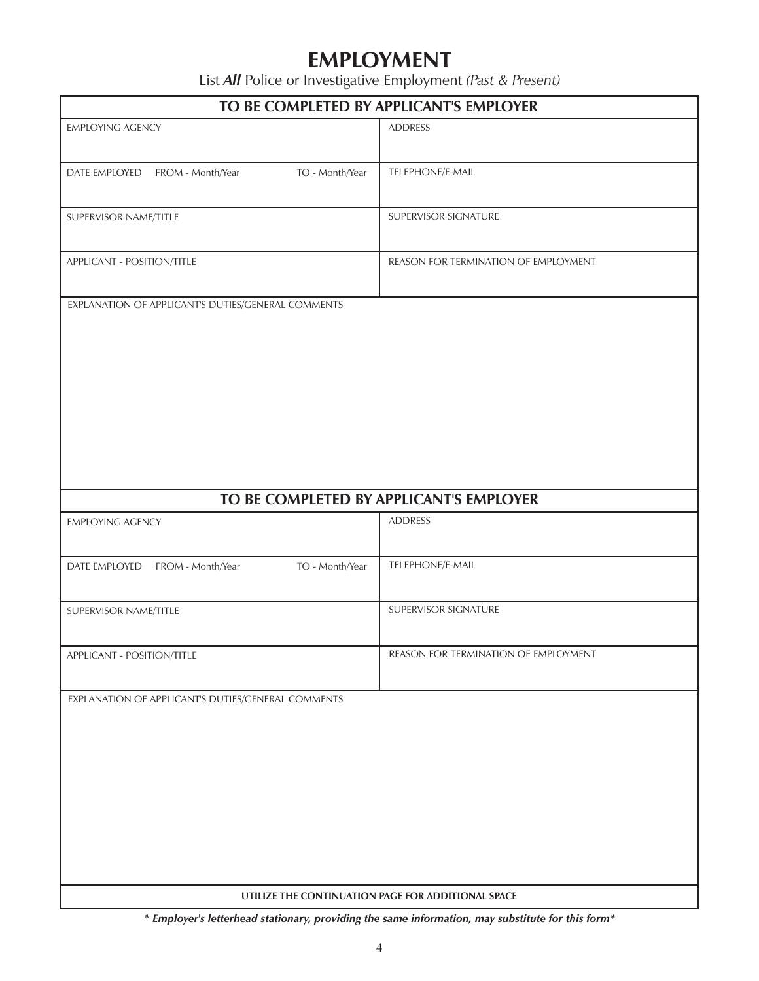## **EMPLOYMENT**

List *All* Police or Investigative Employment *(Past & Present)*

| TO BE COMPLETED BY APPLICANT'S EMPLOYER                                                                  |                                      |  |  |
|----------------------------------------------------------------------------------------------------------|--------------------------------------|--|--|
| <b>EMPLOYING AGENCY</b>                                                                                  | <b>ADDRESS</b>                       |  |  |
| TO - Month/Year<br>DATE EMPLOYED FROM - Month/Year                                                       | TELEPHONE/E-MAIL                     |  |  |
| SUPERVISOR NAME/TITLE                                                                                    | SUPERVISOR SIGNATURE                 |  |  |
| APPLICANT - POSITION/TITLE                                                                               | REASON FOR TERMINATION OF EMPLOYMENT |  |  |
| EXPLANATION OF APPLICANT'S DUTIES/GENERAL COMMENTS                                                       |                                      |  |  |
| TO BE COMPLETED BY APPLICANT'S EMPLOYER<br><b>ADDRESS</b><br><b>EMPLOYING AGENCY</b>                     |                                      |  |  |
| TO - Month/Year<br>DATE EMPLOYED FROM - Month/Year                                                       | TELEPHONE/E-MAIL                     |  |  |
| SUPERVISOR NAME/TITLE                                                                                    | SUPERVISOR SIGNATURE                 |  |  |
| APPLICANT - POSITION/TITLE                                                                               | REASON FOR TERMINATION OF EMPLOYMENT |  |  |
| EXPLANATION OF APPLICANT'S DUTIES/GENERAL COMMENTS<br>UTILIZE THE CONTINUATION PAGE FOR ADDITIONAL SPACE |                                      |  |  |

*\* Employer's letterhead stationary, providing the same information, may substitute for this form\**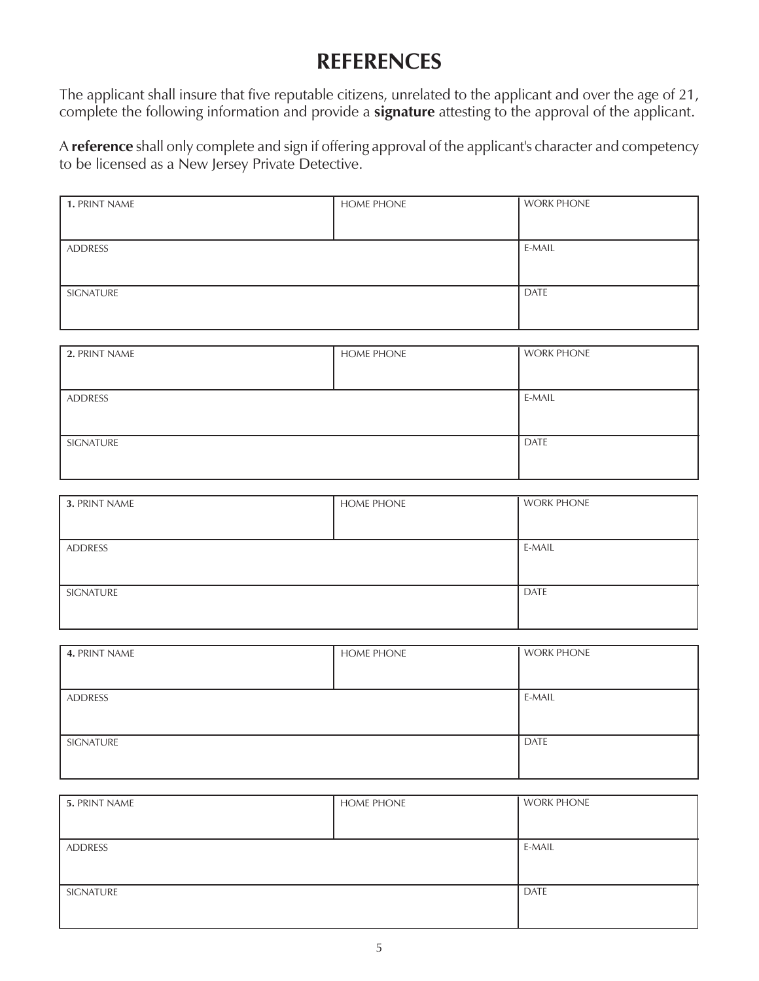# **REFERENCES**

The applicant shall insure that five reputable citizens, unrelated to the applicant and over the age of 21, complete the following information and provide a **signature** attesting to the approval of the applicant.

A **reference** shall only complete and sign if offering approval of the applicant's character and competency to be licensed as a New Jersey Private Detective.

| 1. PRINT NAME | <b>HOME PHONE</b> | <b>WORK PHONE</b> |
|---------------|-------------------|-------------------|
|               |                   |                   |
| ADDRESS       |                   | E-MAIL            |
|               |                   |                   |
| SIGNATURE     |                   | DATE              |
|               |                   |                   |

| 2. PRINT NAME | <b>HOME PHONE</b> | <b>WORK PHONE</b> |
|---------------|-------------------|-------------------|
|               |                   |                   |
| ADDRESS       |                   | E-MAIL            |
|               |                   |                   |
| SIGNATURE     |                   | DATE              |
|               |                   |                   |

| 3. PRINT NAME | <b>HOME PHONE</b> | <b>WORK PHONE</b> |
|---------------|-------------------|-------------------|
|               |                   |                   |
| ADDRESS       |                   | E-MAIL            |
|               |                   |                   |
| SIGNATURE     |                   | <b>DATE</b>       |
|               |                   |                   |

| 4. PRINT NAME | <b>HOME PHONE</b> | <b>WORK PHONE</b> |
|---------------|-------------------|-------------------|
|               |                   |                   |
| ADDRESS       |                   | E-MAIL            |
|               |                   |                   |
| SIGNATURE     |                   | DATE              |
|               |                   |                   |

| 5. PRINT NAME | <b>HOME PHONE</b> | <b>WORK PHONE</b> |
|---------------|-------------------|-------------------|
|               |                   |                   |
| ADDRESS       |                   | E-MAIL            |
|               |                   |                   |
| SIGNATURE     |                   | <b>DATE</b>       |
|               |                   |                   |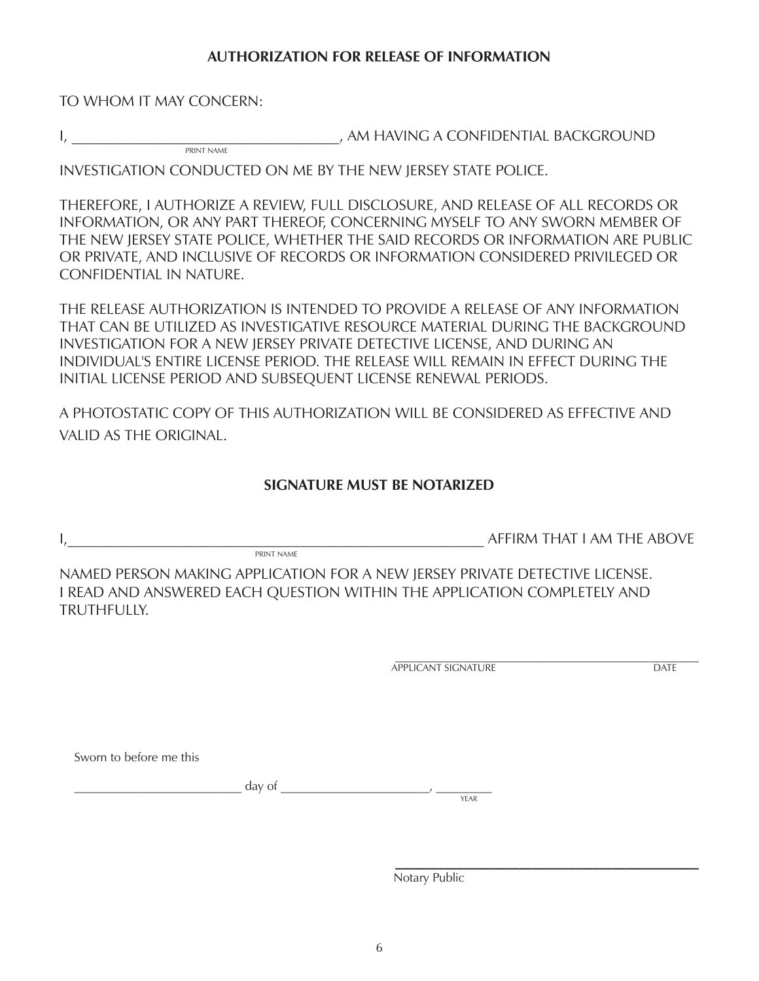#### **AUTHORIZATION FOR RELEASE OF INFORMATION**

TO WHOM IT MAY CONCERN:

I, the contract of the state of the MINIS AND HAVING A CONFIDENTIAL BACKGROUND PRINT NAME

INVESTIGATION CONDUCTED ON ME BY THE NEW JERSEY STATE POLICE.

THEREFORE, I AUTHORIZE A REVIEW, FULL DISCLOSURE, AND RELEASE OF ALL RECORDS OR INFORMATION, OR ANY PART THEREOF, CONCERNING MYSELF TO ANY SWORN MEMBER OF THE NEW JERSEY STATE POLICE, WHETHER THE SAID RECORDS OR INFORMATION ARE PUBLIC OR PRIVATE, AND INCLUSIVE OF RECORDS OR INFORMATION CONSIDERED PRIVILEGED OR CONFIDENTIAL IN NATURE.

THE RELEASE AUTHORIZATION IS INTENDED TO PROVIDE A RELEASE OF ANY INFORMATION THAT CAN BE UTILIZED AS INVESTIGATIVE RESOURCE MATERIAL DURING THE BACKGROUND INVESTIGATION FOR A NEW JERSEY PRIVATE DETECTIVE LICENSE, AND DURING AN INDIVIDUAL'S ENTIRE LICENSE PERIOD. THE RELEASE WILL REMAIN IN EFFECT DURING THE INITIAL LICENSE PERIOD AND SUBSEQUENT LICENSE RENEWAL PERIODS.

A PHOTOSTATIC COPY OF THIS AUTHORIZATION WILL BE CONSIDERED AS EFFECTIVE AND VALID AS THE ORIGINAL.

### **SIGNATURE MUST BE NOTARIZED**

I,\_\_\_\_\_\_\_\_\_\_\_\_\_\_\_\_\_\_\_\_\_\_\_\_\_\_\_\_\_\_\_\_\_\_\_\_\_\_\_\_\_\_\_\_\_\_\_\_\_\_\_\_\_\_\_\_ AFFIRM THAT I AM THE ABOVE

NAMED PERSON MAKING APPLICATION FOR A NEW JERSEY PRIVATE DETECTIVE LICENSE. I READ AND ANSWERED EACH QUESTION WITHIN THE APPLICATION COMPLETELY AND TRUTHFULLY.

> \_\_\_\_\_\_\_\_\_\_\_\_\_\_\_\_\_\_\_\_\_\_\_\_\_\_\_\_\_\_\_\_\_\_\_\_\_\_\_\_\_\_\_\_\_\_\_\_\_ APPLICANT SIGNATURE DATE

Sworn to before me this

\_\_\_\_\_\_\_\_\_\_\_\_\_\_\_\_\_\_\_\_\_\_\_\_\_\_\_ day of \_\_\_\_\_\_\_\_\_\_\_\_\_\_\_\_\_\_\_\_\_\_\_\_, \_\_\_\_\_\_\_\_\_

PRINT NAME

YEAR

 **\_\_\_\_\_\_\_\_\_\_\_\_\_\_\_\_\_\_\_\_\_\_\_\_\_\_\_\_\_\_\_\_\_\_\_\_\_\_\_\_\_\_\_\_\_\_\_\_\_**

Notary Public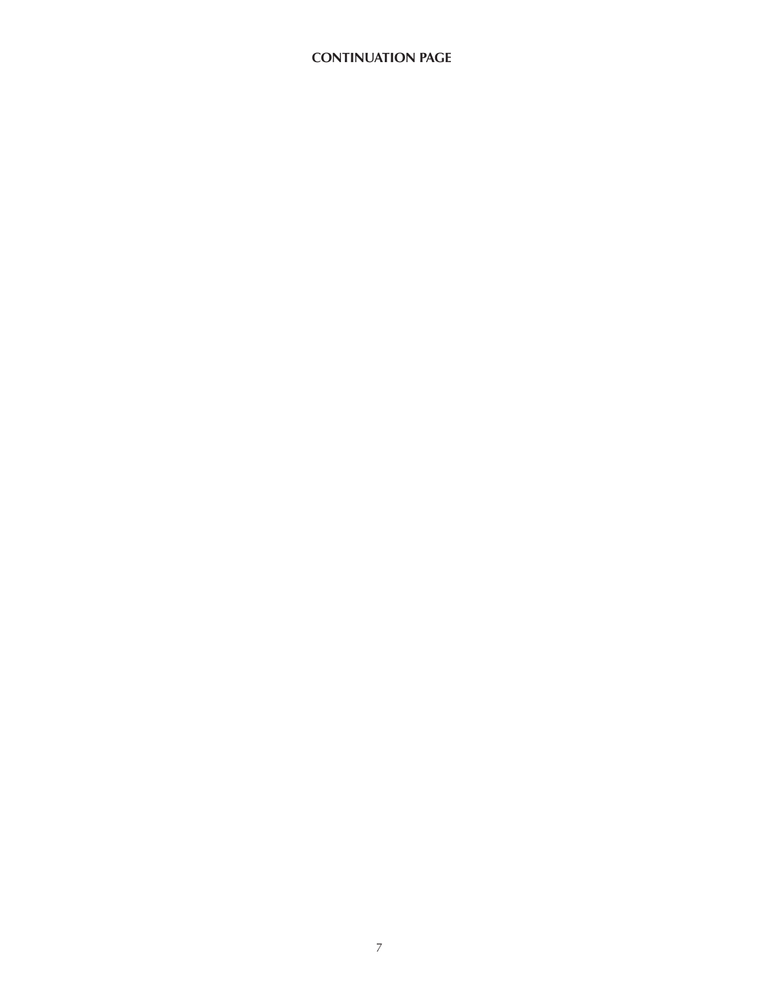### **CONTINUATION PAGE**